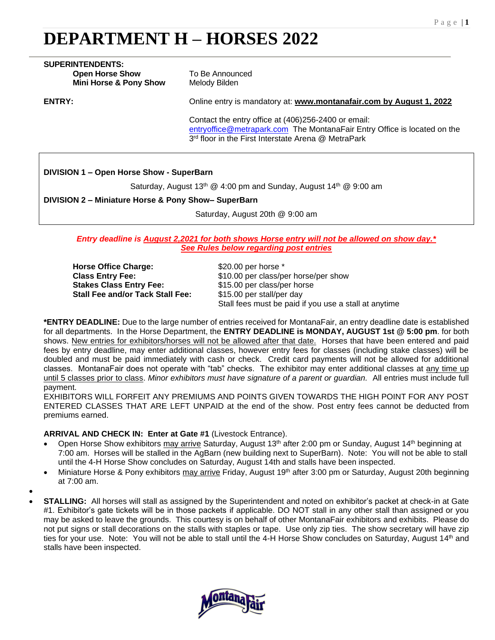# **DEPARTMENT H – HORSES 2022**

| <b>SUPERINTENDENTS:</b><br><b>Open Horse Show</b><br><b>Mini Horse &amp; Pony Show</b> | To Be Announced<br>Melody Bilden                                                                                                                                                       |
|----------------------------------------------------------------------------------------|----------------------------------------------------------------------------------------------------------------------------------------------------------------------------------------|
| <b>ENTRY:</b>                                                                          | Online entry is mandatory at: www.montanafair.com by August 1, 2022                                                                                                                    |
|                                                                                        | Contact the entry office at (406)256-2400 or email:<br>entryoffice@metrapark.com The MontanaFair Entry Office is located on the<br>3rd floor in the First Interstate Arena @ MetraPark |

**DIVISION 1 – Open Horse Show - SuperBarn**

Saturday, August 13<sup>th</sup> @ 4:00 pm and Sunday, August 14<sup>th</sup> @ 9:00 am

#### **DIVISION 2 – Miniature Horse & Pony Show– SuperBarn**

Saturday, August 20th @ 9:00 am

*Entry deadline is August 2,2021 for both shows Horse entry will not be allowed on show day.\* See Rules below regarding post entries*

**Horse Office Charge:** \$20.00 per horse \* **Stall Fee and/or Tack Stall Fee:** \$15.00 per stall/per day

**Class Entry Fee:** \$10.00 per class/per horse/per show<br>
\$15.00 per class/per horse \$15.00 per class/per horse Stall fees must be paid if you use a stall at anytime

**\*ENTRY DEADLINE:** Due to the large number of entries received for MontanaFair, an entry deadline date is established for all departments. In the Horse Department, the **ENTRY DEADLINE is MONDAY, AUGUST 1st @ 5:00 pm**. for both shows. New entries for exhibitors/horses will not be allowed after that date. Horses that have been entered and paid fees by entry deadline, may enter additional classes, however entry fees for classes (including stake classes) will be doubled and must be paid immediately with cash or check. Credit card payments will not be allowed for additional classes. MontanaFair does not operate with "tab" checks. The exhibitor may enter additional classes at any time up until 5 classes prior to class. *Minor exhibitors must have signature of a parent or guardian.* All entries must include full payment.

EXHIBITORS WILL FORFEIT ANY PREMIUMS AND POINTS GIVEN TOWARDS THE HIGH POINT FOR ANY POST ENTERED CLASSES THAT ARE LEFT UNPAID at the end of the show. Post entry fees cannot be deducted from premiums earned.

**ARRIVAL AND CHECK IN: Enter at Gate #1** (Livestock Entrance).

- Open Horse Show exhibitors may arrive Saturday, August 13<sup>th</sup> after 2:00 pm or Sunday, August 14<sup>th</sup> beginning at 7:00 am. Horses will be stalled in the AgBarn (new building next to SuperBarn). Note: You will not be able to stall until the 4-H Horse Show concludes on Saturday, August 14th and stalls have been inspected.
- Miniature Horse & Pony exhibitors may arrive Friday, August 19th after 3:00 pm or Saturday, August 20th beginning at 7:00 am.
- • **STALLING:** All horses will stall as assigned by the Superintendent and noted on exhibitor's packet at check-in at Gate #1. Exhibitor's gate tickets will be in those packets if applicable. DO NOT stall in any other stall than assigned or you may be asked to leave the grounds. This courtesy is on behalf of other MontanaFair exhibitors and exhibits. Please do not put signs or stall decorations on the stalls with staples or tape. Use only zip ties. The show secretary will have zip ties for your use. Note: You will not be able to stall until the 4-H Horse Show concludes on Saturday, August 14<sup>th</sup> and stalls have been inspected.

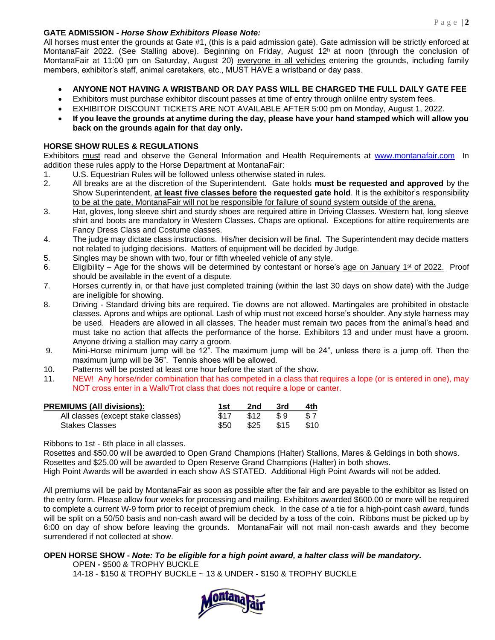#### **GATE ADMISSION -** *Horse Show Exhibitors Please Note:*

All horses must enter the grounds at Gate #1, (this is a paid admission gate). Gate admission will be strictly enforced at MontanaFair 2022. (See Stalling above). Beginning on Friday, August 12<sup>h</sup> at noon (through the conclusion of MontanaFair at 11:00 pm on Saturday, August 20) everyone in all vehicles entering the grounds, including family members, exhibitor's staff, animal caretakers, etc., MUST HAVE a wristband or day pass.

#### • **ANYONE NOT HAVING A WRISTBAND OR DAY PASS WILL BE CHARGED THE FULL DAILY GATE FEE**

- Exhibitors must purchase exhibitor discount passes at time of entry through onlilne entry system fees.
- EXHIBITOR DISCOUNT TICKETS ARE NOT AVAILABLE AFTER 5:00 pm on Monday, August 1, 2022.
- **If you leave the grounds at anytime during the day, please have your hand stamped which will allow you back on the grounds again for that day only.**

#### **HORSE SHOW RULES & REGULATIONS**

Exhibitors must read and observe the General Information and Health Requirements at [www.montanafair.com](http://www.montanafair.com/) In addition these rules apply to the Horse Department at MontanaFair:

- 1. U.S. Equestrian Rules will be followed unless otherwise stated in rules.
- 2. All breaks are at the discretion of the Superintendent. Gate holds **must be requested and approved** by the Show Superintendent, at least five classes before the requested gate hold. It is the exhibitor's responsibility to be at the gate, MontanaFair will not be responsible for failure of sound system outside of the arena.
- 3. Hat, gloves, long sleeve shirt and sturdy shoes are required attire in Driving Classes. Western hat, long sleeve shirt and boots are mandatory in Western Classes. Chaps are optional. Exceptions for attire requirements are Fancy Dress Class and Costume classes.
- 4. The judge may dictate class instructions. His/her decision will be final. The Superintendent may decide matters not related to judging decisions. Matters of equipment will be decided by Judge.
- 5. Singles may be shown with two, four or fifth wheeled vehicle of any style.
- 6. Eligibility Age for the shows will be determined by contestant or horse's age on January 1<sup>st</sup> of 2022. Proof should be available in the event of a dispute.
- 7. Horses currently in, or that have just completed training (within the last 30 days on show date) with the Judge are ineligible for showing.
- 8. Driving Standard driving bits are required. Tie downs are not allowed. Martingales are prohibited in obstacle classes. Aprons and whips are optional. Lash of whip must not exceed horse's shoulder. Any style harness may be used. Headers are allowed in all classes. The header must remain two paces from the animal's head and must take no action that affects the performance of the horse. Exhibitors 13 and under must have a groom. Anyone driving a stallion may carry a groom.
- 9. Mini-Horse minimum jump will be 12". The maximum jump will be 24", unless there is a jump off. Then the maximum jump will be 36". Tennis shoes will be allowed.
- 10. Patterns will be posted at least one hour before the start of the show.
- 11. NEW! Any horse/rider combination that has competed in a class that requires a lope (or is entered in one), may NOT cross enter in a Walk/Trot class that does not require a lope or canter.

| <b>PREMIUMS (All divisions):</b>   | 1st  | 2nd  | 3rd   | 4th  |
|------------------------------------|------|------|-------|------|
| All classes (except stake classes) | \$17 | \$12 | -S. 9 | \$7  |
| Stakes Classes                     | \$50 | \$25 | \$15  | \$10 |

Ribbons to 1st - 6th place in all classes.

Rosettes and \$50.00 will be awarded to Open Grand Champions (Halter) Stallions, Mares & Geldings in both shows. Rosettes and \$25.00 will be awarded to Open Reserve Grand Champions (Halter) in both shows. High Point Awards will be awarded in each show AS STATED. Additional High Point Awards will not be added.

All premiums will be paid by MontanaFair as soon as possible after the fair and are payable to the exhibitor as listed on the entry form. Please allow four weeks for processing and mailing. Exhibitors awarded \$600.00 or more will be required to complete a current W-9 form prior to receipt of premium check. In the case of a tie for a high-point cash award, funds will be split on a 50/50 basis and non-cash award will be decided by a toss of the coin. Ribbons must be picked up by 6:00 on day of show before leaving the grounds. MontanaFair will not mail non-cash awards and they become surrendered if not collected at show.

#### **OPEN HORSE SHOW -** *Note: To be eligible for a high point award, a halter class will be mandatory.*

OPEN **-** \$500 & TROPHY BUCKLE 14-18 - \$150 & TROPHY BUCKLE ~ 13 & UNDER **-** \$150 & TROPHY BUCKLE

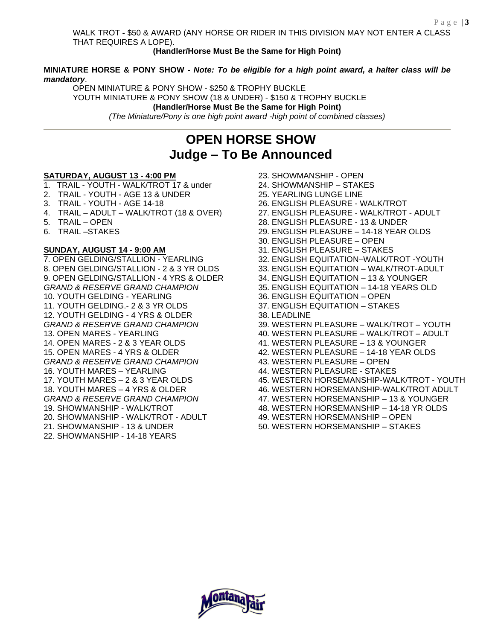WALK TROT **-** \$50 & AWARD (ANY HORSE OR RIDER IN THIS DIVISION MAY NOT ENTER A CLASS THAT REQUIRES A LOPE).

**(Handler/Horse Must Be the Same for High Point)**

#### **MINIATURE HORSE & PONY SHOW -** *Note: To be eligible for a high point award, a halter class will be mandatory*.

OPEN MINIATURE & PONY SHOW - \$250 & TROPHY BUCKLE YOUTH MINIATURE & PONY SHOW (18 & UNDER) - \$150 & TROPHY BUCKLE **(Handler/Horse Must Be the Same for High Point)**

*(The Miniature/Pony is one high point award -high point of combined classes)*

## **OPEN HORSE SHOW Judge – To Be Announced**

#### **SATURDAY, AUGUST 13 - 4:00 PM**

- 1. TRAIL YOUTH WALK/TROT 17 & under
- 2. TRAIL YOUTH AGE 13 & UNDER
- 3. TRAIL YOUTH AGE 14-18
- 4. TRAIL ADULT WALK/TROT (18 & OVER)
- 5. TRAIL OPEN
- 6. TRAIL –STAKES

#### **SUNDAY, AUGUST 14 - 9:00 AM**

7. OPEN GELDING/STALLION - YEARLING 8. OPEN GELDING/STALLION - 2 & 3 YR OLDS 9. OPEN GELDING/STALLION - 4 YRS & OLDER *GRAND & RESERVE GRAND CHAMPION* 10. YOUTH GELDING - YEARLING 11. YOUTH GELDING.- 2 & 3 YR OLDS 12. YOUTH GELDING - 4 YRS & OLDER *GRAND & RESERVE GRAND CHAMPION* 13. OPEN MARES - YEARLING 14. OPEN MARES - 2 & 3 YEAR OLDS 15. OPEN MARES - 4 YRS & OLDER *GRAND & RESERVE GRAND CHAMPION* 16. YOUTH MARES – YEARLING 17. YOUTH MARES – 2 & 3 YEAR OLDS 18. YOUTH MARES – 4 YRS & OLDER *GRAND & RESERVE GRAND CHAMPION* 19. SHOWMANSHIP - WALK/TROT 20. SHOWMANSHIP - WALK/TROT - ADULT 21. SHOWMANSHIP - 13 & UNDER 22. SHOWMANSHIP - 14-18 YEARS

- 23. SHOWMANSHIP OPEN 24. SHOWMANSHIP – STAKES
- 
- 25. YEARLING LUNGE LINE
- 26. ENGLISH PLEASURE WALK/TROT
- 27. ENGLISH PLEASURE WALK/TROT ADULT 28. ENGLISH PLEASURE - 13 & UNDER
- 
- 29. ENGLISH PLEASURE 14-18 YEAR OLDS
- 30. ENGLISH PLEASURE OPEN
- 31. ENGLISH PLEASURE STAKES
- 32. ENGLISH EQUITATION–WALK/TROT -YOUTH
- 33. ENGLISH EQUITATION WALK/TROT-ADULT
- 34. ENGLISH EQUITATION 13 & YOUNGER
- 35. ENGLISH EQUITATION 14-18 YEARS OLD
- 36. ENGLISH EQUITATION OPEN
- 37. ENGLISH EQUITATION STAKES
- 38. LEADLINE
- 39. WESTERN PLEASURE WALK/TROT YOUTH
- 40. WESTERN PLEASURE WALK/TROT ADULT
- 41. WESTERN PLEASURE 13 & YOUNGER
- 42. WESTERN PLEASURE 14-18 YEAR OLDS
- 43. WESTERN PLEASURE OPEN
- 44. WESTERN PLEASURE STAKES
- 45. WESTERN HORSEMANSHIP-WALK/TROT YOUTH
- 46. WESTERN HORSEMANSHIP-WALK/TROT ADULT
- 47. WESTERN HORSEMANSHIP 13 & YOUNGER
- 48. WESTERN HORSEMANSHIP 14-18 YR OLDS
- 49. WESTERN HORSEMANSHIP OPEN
- 50. WESTERN HORSEMANSHIP STAKES